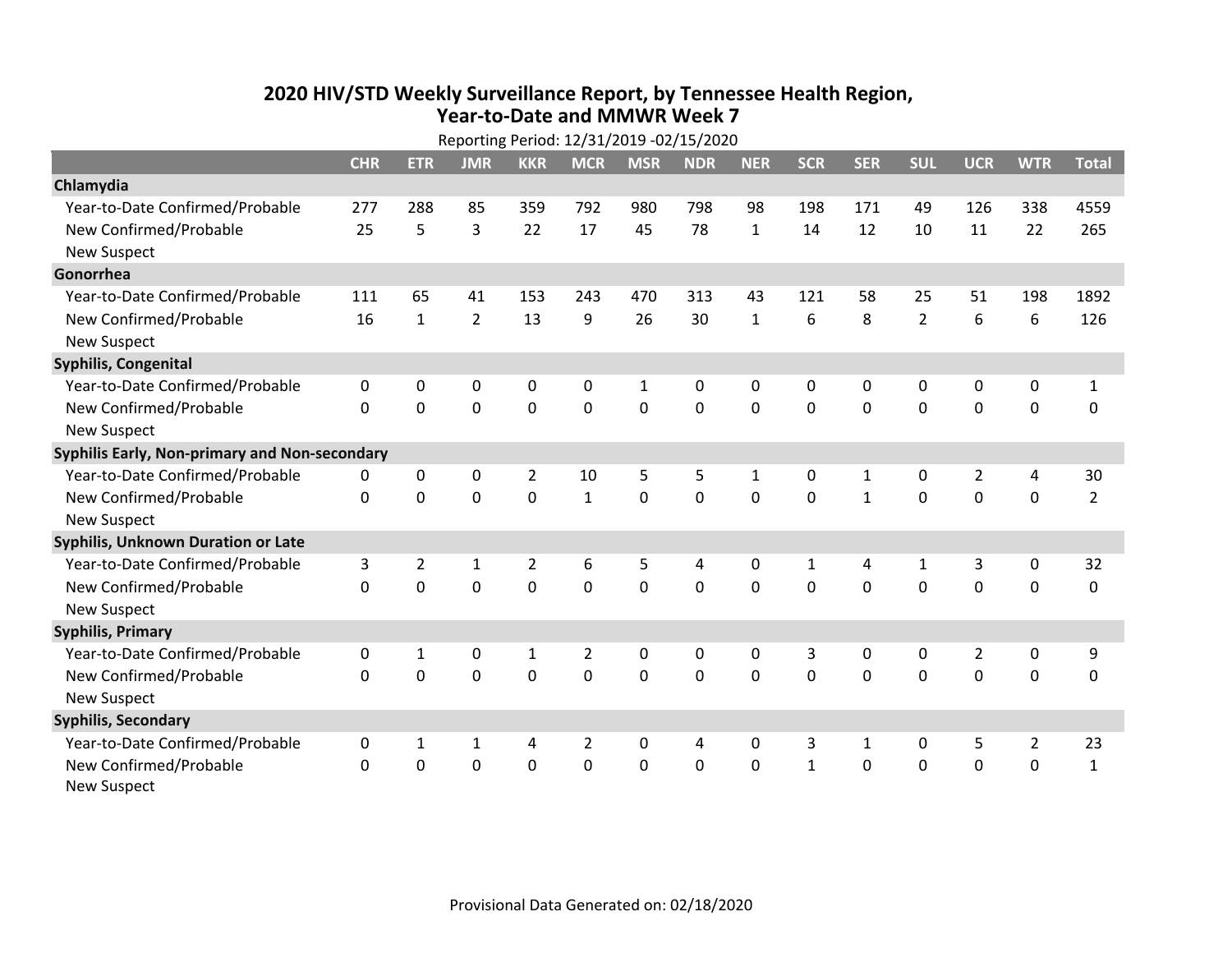## **2020 HIV /STD Weekly Surveillance Report, by Tennessee Health Region, Year‐to‐Date and MMWR Week 7** Reporting Period: 12/31/2019 ‐02/15/2020

| Reporting Period: 12/31/2019 -02/15/2020      |              |                |                |                |                |              |                |              |              |              |                |                |                |                |
|-----------------------------------------------|--------------|----------------|----------------|----------------|----------------|--------------|----------------|--------------|--------------|--------------|----------------|----------------|----------------|----------------|
|                                               | <b>CHR</b>   | <b>ETR</b>     | <b>JMR</b>     | <b>KKR</b>     | <b>MCR</b>     | <b>MSR</b>   | <b>NDR</b>     | <b>NER</b>   | <b>SCR</b>   | <b>SER</b>   | <b>SUL</b>     | <b>UCR</b>     | <b>WTR</b>     | <b>Total</b>   |
| Chlamydia                                     |              |                |                |                |                |              |                |              |              |              |                |                |                |                |
| Year-to-Date Confirmed/Probable               | 277          | 288            | 85             | 359            | 792            | 980          | 798            | 98           | 198          | 171          | 49             | 126            | 338            | 4559           |
| New Confirmed/Probable                        | 25           | 5              | 3              | 22             | 17             | 45           | 78             | $\mathbf{1}$ | 14           | 12           | 10             | 11             | 22             | 265            |
| <b>New Suspect</b>                            |              |                |                |                |                |              |                |              |              |              |                |                |                |                |
| Gonorrhea                                     |              |                |                |                |                |              |                |              |              |              |                |                |                |                |
| Year-to-Date Confirmed/Probable               | 111          | 65             | 41             | 153            | 243            | 470          | 313            | 43           | 121          | 58           | 25             | 51             | 198            | 1892           |
| New Confirmed/Probable                        | 16           | $\mathbf{1}$   | $\overline{2}$ | 13             | 9              | 26           | 30             | $\mathbf{1}$ | 6            | 8            | $\overline{2}$ | 6              | 6              | 126            |
| <b>New Suspect</b>                            |              |                |                |                |                |              |                |              |              |              |                |                |                |                |
| <b>Syphilis, Congenital</b>                   |              |                |                |                |                |              |                |              |              |              |                |                |                |                |
| Year-to-Date Confirmed/Probable               | $\mathbf 0$  | 0              | 0              | 0              | 0              | $\mathbf{1}$ | 0              | 0            | $\Omega$     | 0            | 0              | 0              | 0              | $\mathbf{1}$   |
| New Confirmed/Probable                        | $\Omega$     | $\Omega$       | $\Omega$       | $\Omega$       | $\Omega$       | $\mathbf{0}$ | $\Omega$       | $\Omega$     | $\Omega$     | $\Omega$     | $\Omega$       | 0              | $\mathbf 0$    | 0              |
| <b>New Suspect</b>                            |              |                |                |                |                |              |                |              |              |              |                |                |                |                |
| Syphilis Early, Non-primary and Non-secondary |              |                |                |                |                |              |                |              |              |              |                |                |                |                |
| Year-to-Date Confirmed/Probable               | 0            | 0              | 0              | $\overline{2}$ | 10             | 5            | 5              | $\mathbf{1}$ | 0            | $\mathbf{1}$ | $\mathbf{0}$   | $\overline{2}$ | 4              | 30             |
| New Confirmed/Probable                        | $\Omega$     | $\Omega$       | $\Omega$       | $\Omega$       | $\mathbf{1}$   | $\mathbf 0$  | $\Omega$       | $\Omega$     | $\Omega$     | $\mathbf{1}$ | $\Omega$       | $\Omega$       | $\mathbf 0$    | $\overline{2}$ |
| <b>New Suspect</b>                            |              |                |                |                |                |              |                |              |              |              |                |                |                |                |
| Syphilis, Unknown Duration or Late            |              |                |                |                |                |              |                |              |              |              |                |                |                |                |
| Year-to-Date Confirmed/Probable               | 3            | $\overline{2}$ | 1              | 2              | 6              | 5            | 4              | 0            | 1            | 4            | 1              | 3              | 0              | 32             |
| New Confirmed/Probable                        | $\Omega$     | $\Omega$       | $\overline{0}$ | $\Omega$       | $\Omega$       | $\Omega$     | $\overline{0}$ | $\Omega$     | $\Omega$     | $\Omega$     | $\Omega$       | $\Omega$       | $\mathbf 0$    | $\mathbf 0$    |
| <b>New Suspect</b>                            |              |                |                |                |                |              |                |              |              |              |                |                |                |                |
| <b>Syphilis, Primary</b>                      |              |                |                |                |                |              |                |              |              |              |                |                |                |                |
| Year-to-Date Confirmed/Probable               | $\mathbf{0}$ | 1              | 0              | 1              | 2              | $\mathbf{0}$ | 0              | 0            | 3            | $\mathbf{0}$ | $\mathbf{0}$   | $\overline{2}$ | 0              | 9              |
| New Confirmed/Probable                        | $\Omega$     | $\Omega$       | $\overline{0}$ | $\Omega$       | 0              | $\mathbf{0}$ | $\Omega$       | $\Omega$     | $\Omega$     | $\Omega$     | $\Omega$       | $\mathbf 0$    | $\mathbf 0$    | $\mathbf 0$    |
| <b>New Suspect</b>                            |              |                |                |                |                |              |                |              |              |              |                |                |                |                |
| <b>Syphilis, Secondary</b>                    |              |                |                |                |                |              |                |              |              |              |                |                |                |                |
| Year-to-Date Confirmed/Probable               | 0            | 1              | 1              | 4              | $\overline{2}$ | $\mathbf{0}$ | 4              | 0            | 3            | 1            | 0              | 5              | $\overline{2}$ | 23             |
| New Confirmed/Probable                        | $\Omega$     | 0              | 0              | $\mathbf 0$    | 0              | $\mathbf 0$  | 0              | $\Omega$     | $\mathbf{1}$ | $\mathbf 0$  | $\mathbf 0$    | $\mathbf 0$    | $\mathbf 0$    | $\mathbf 1$    |
| <b>New Suspect</b>                            |              |                |                |                |                |              |                |              |              |              |                |                |                |                |